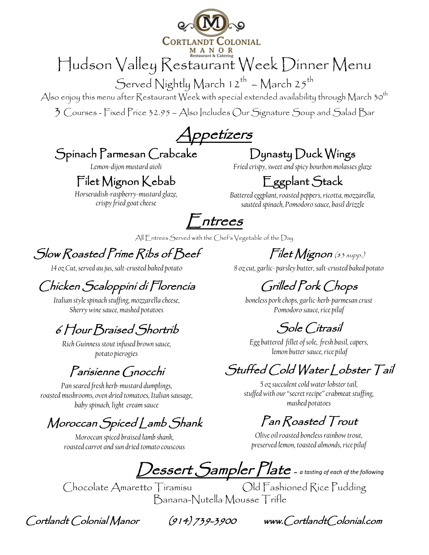

# Hudson Valley Restaurant Week Dinner Menu

Served Nightly March  $12^{th}$  – March  $25^{th}$ 

Also enjoy this menu after Restaurant Week with special extended availability through March 30<sup>th</sup>

3 Courses - Fixed Price 32.95 – Also Includes Our Signature Soup and Salad Bar

Appetizers

#### Spinach Parmesan Crabcake

*Lemon-dijon mustard aioli*

#### Filet Mignon Kebab

*Horseradish-raspberry-mustard glaze, crispy fried goat cheese*

### Dynasty Duck Wings

*Fried crispy, sweet and spicy bourbon molasses glaze* 

### Eggplant Stack

*Battered eggplant, roasted peppers, ricotta, mozzarella, sautéed spinach, Pomodoro sauce, basil drizzle*

 $^-$ ntrees

All Entrees Served with the Chef's Vegetable of the Day

Slow Roasted Prime Ribs of Beef

*14 oz Cut, served au jus, salt-crusted baked potato*

### Chicken Scaloppini di Florencia

*Italian style spinach stuffing, mozzarella cheese, Sherry wine sauce, mashed potatoes*

### 6 Hour Braised Shortrib

*Rich Guinness stout infused brown sauce, potato pierogies*

#### Parisienne Gnocchi

*Pan seared fresh herb-mustard dumplings, roasted mushrooms, oven dried tomatoes, Italian sausage, baby spinach, light cream sauce*

### Moroccan Spiced Lamb Shank

*Moroccan spiced braised lamb shank, roasted carrot and sun dried tomato couscous*

 $Chocolate$  Amaretto Tiramisu

Filet Mignon (\$3 supp.)

*8 oz cut, garlic- parsley butter, salt-crusted baked potato*

Grilled Pork Chops

*boneless pork chops,garlic-herb-parmesan crust Pomodoro sauce, rice pilaf*

### Sole Citrasil

*Egg battered fillet of sole, fresh basil,capers, lemon butter sauce, rice pilaf*

### Stuffed Cold Water Lobster Tail

*5 oz succulent cold water lobster tail, stuffed with our "secret recipe" crabmeat stuffing, mashed potatoes*

### Pan Roasted Trout

*Olive oil roasted boneless rainbow trout, preserved lemon, toasted almonds, rice pilaf*

Dessert Sampler Plate - *a tasting of each of the following*

Banana-Nutella Mousse Trifle

Cortlandt Colonial Manor (914) 739-3900 www.CortlandtColonial.com